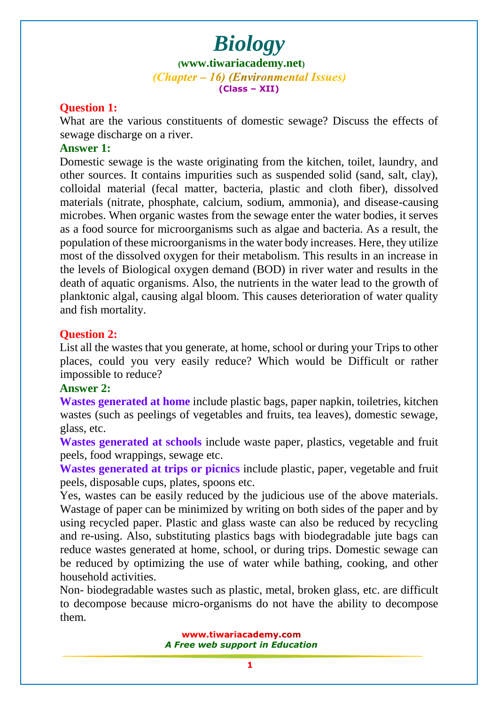# *Biology* **([www.tiwariacademy.net](http://www.tiwariacademy.net/))** (Chapter – 16) (Environmental Issues) **(Class – XII)**

#### **Question 1:**

What are the various constituents of domestic sewage? Discuss the effects of sewage discharge on a river.

#### **Answer 1:**

Domestic sewage is the waste originating from the kitchen, toilet, laundry, and other sources. It contains impurities such as suspended solid (sand, salt, clay), colloidal material (fecal matter, bacteria, plastic and cloth fiber), dissolved materials (nitrate, phosphate, calcium, sodium, ammonia), and disease-causing microbes. When organic wastes from the sewage enter the water bodies, it serves as a food source for microorganisms such as algae and bacteria. As a result, the population of these microorganisms in the water body increases. Here, they utilize most of the dissolved oxygen for their metabolism. This results in an increase in the levels of Biological oxygen demand (BOD) in river water and results in the death of aquatic organisms. Also, the nutrients in the water lead to the growth of planktonic algal, causing algal bloom. This causes deterioration of water quality and fish mortality.

#### **Question 2:**

List all the wastes that you generate, at home, school or during your Trips to other places, could you very easily reduce? Which would be Difficult or rather impossible to reduce?

#### **Answer 2:**

**Wastes generated at home** include plastic bags, paper napkin, toiletries, kitchen wastes (such as peelings of vegetables and fruits, tea leaves), domestic sewage, glass, etc.

**Wastes generated at schools** include waste paper, plastics, vegetable and fruit peels, food wrappings, sewage etc.

**Wastes generated at trips or picnics** include plastic, paper, vegetable and fruit peels, disposable cups, plates, spoons etc.

Yes, wastes can be easily re[duced by the judiciou](www.tiwariacademy.com)s use of the above materials. Wastage of paper can be minimized by writing on both sides of the paper and by using recycled paper. Plastic and glass waste can also be reduced by recycling and re-using. Also, substituting plastics bags with biodegradable jute bags can reduce wastes generated at home, school, or during trips. Domestic sewage can be reduced by optimizing the use of water while bathing, cooking, and other household activities.

Non- biodegradable wastes such as plastic, metal, broken glass, etc. are difficult to decompose because micro-organisms do not have the ability to decompose them.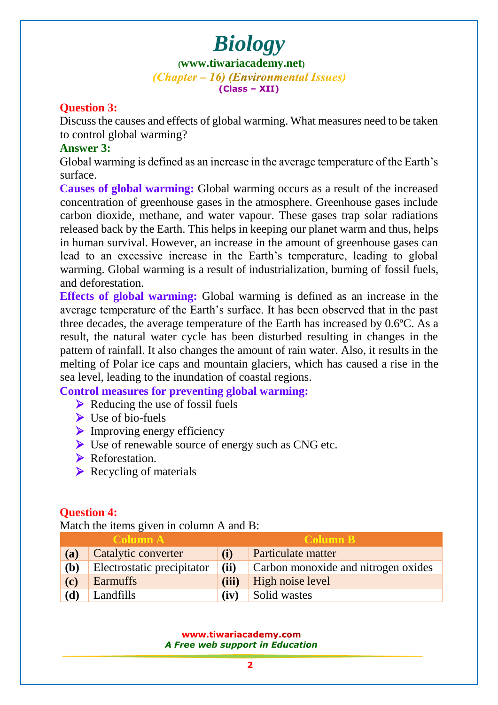**([www.tiwariacademy.net](http://www.tiwariacademy.net/))** (Chapter – 16) (Environmental Issues) **(Class – XII)**

#### **Question 3:**

Discuss the causes and effects of global warming. What measures need to be taken to control global warming?

#### **Answer 3:**

Global warming is defined as an increase in the average temperature of the Earth's surface.

**Causes of global warming:** Global warming occurs as a result of the increased concentration of greenhouse gases in the atmosphere. Greenhouse gases include carbon dioxide, methane, and water vapour. These gases trap solar radiations released back by the Earth. This helps in keeping our planet warm and thus, helps in human survival. However, an increase in the amount of greenhouse gases can lead to an excessive increase i[n the Earth's](www.tiwariacademy.com) temperature, leading to global warming. Global warming is a result of industrialization, burning of fossil fuels, and deforestation.

**Effects of global warming:** Global warming is defined as an increase in the average temperature of the Earth's surface. It has been observed that in the past three decades, the average temperature of the Earth has increased by 0.6ºC. As a result, the natural water cycle has been disturbed resulting in changes in the pattern of rainfall. It also changes the amount of rain water. Also, it results in the melting of Polar ice caps and mountain glaciers, which has caused a rise in the sea level, leading to the inundation of coastal regions.

**Control measures for preventing global warming:**

- $\triangleright$  Reducing the use of fossil fuels
- $\triangleright$  Use of bio-fuels
- $\triangleright$  Improving energy efficiency
- ▶ Use of renewable source of energy such as CNG etc.
- Reforestation.
- $\triangleright$  Recycling of materials

# **Question 4:**

Match the items given in column A and B:

| <b>Column A</b> |                            | <b>Column B</b> |                                     |
|-----------------|----------------------------|-----------------|-------------------------------------|
| (a)             | Catalytic converter        | (i)             | Particulate matter                  |
| (b)             | Electrostatic precipitator | (ii)            | Carbon monoxide and nitrogen oxides |
| (c)             | <b>Earmuffs</b>            | (iii)           | High noise level                    |
| (d)             | Landfills                  | (iv)            | Solid wastes                        |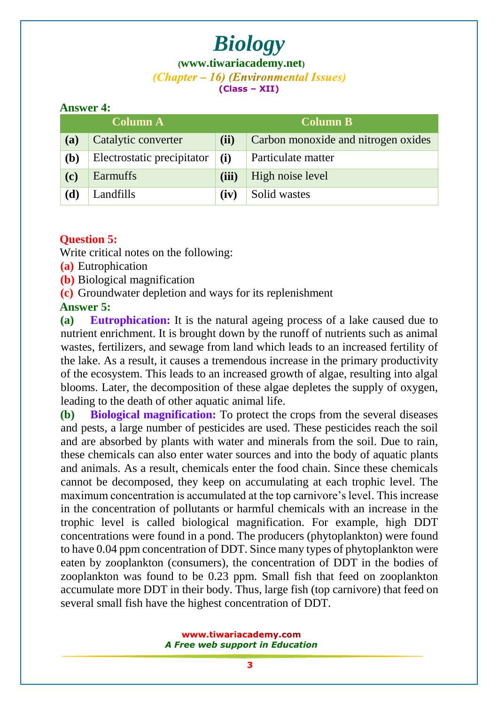**([www.tiwariacademy.net](http://www.tiwariacademy.net/))** (Chapter – 16) (Environmental Issues) **(Class – XII)**

#### **Answer 4:**

| <b>Column A</b> |                            | <b>Column B</b> |                                     |
|-----------------|----------------------------|-----------------|-------------------------------------|
| (a)             | Catalytic converter        | (ii)            | Carbon monoxide and nitrogen oxides |
| (b)             | Electrostatic precipitator | (i)             | Particulate matter                  |
| (c)             | <b>Earmuffs</b>            | (iii)           | High noise level                    |
| (d)             | Landfills                  | (iv)            | Solid wastes                        |

### **Question 5:**

Write critical notes on the following:

**(a)** Eutrophication

**(b)** Biological magnification

**(c)** Groundwater depletion and ways for its replenishment

# **Answer 5:**

**(a) Eutrophication:** It is the natural ageing process of a lake caused due to nutrient enrichment. It is brought down by the runoff of nutrients such as animal wastes, fertilizers, and sewage from land which leads to an increased fertility of the lake. As a result, it causes a tremendous increase in the primary productivity of the ecosystem. This leads to an increased growth of algae, resulting into algal blooms. Later, the decomposition of these algae depletes the supply of oxygen, leading to the death of other aquatic animal life.

**(b) Biological magnification:** To protect the crops from the several diseases and pests, a large number of pesticides are used. These pesticides reach the soil and are absorbed by plants with water and minerals from the soil. Due to rain, these chemicals can also enter water sources and into the body of aquatic plants and animals. As a result, chemicals enter the food chain. Since these chemicals cannot be decomposed, they keep on accumulating at each trophic level. The maximum concentration is accumulated at the top carnivore's level. This increase in the concentration of pollutants [or harmful chem](www.tiwariacademy.com)icals with an increase in the trophic level is called biological magnification. For example, high DDT concentrations were found in a pond. The producers (phytoplankton) were found to have 0.04 ppm concentration of DDT. Since many types of phytoplankton were eaten by zooplankton (consumers), the concentration of DDT in the bodies of zooplankton was found to be 0.23 ppm. Small fish that feed on zooplankton accumulate more DDT in their body. Thus, large fish (top carnivore) that feed on several small fish have the highest concentration of DDT.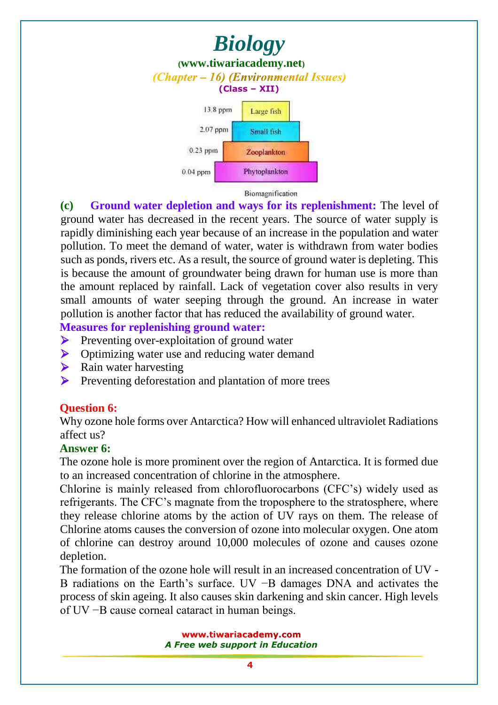

**(c) Ground water depletion and ways for its replenishment:** The level of ground water has decreased in the recent years. The source of water supply is rapidly diminishing each year because of an increase in the population and water pollution. To meet the demand of water, water is withdrawn from water bodies such as ponds, rivers etc. As a result, the source of ground water is depleting. This is because the amount of groundwater being drawn for human use is more than the amount replaced by rainfall. Lack of vegetation cover also results in very small amounts of water seeping through the ground. An increase in water pollution is another factor that has reduced the availability of ground water.

**Measures for replenishing ground water:**

- **Preventing over-exploitation of ground water**
- Optimizing water use and reducing water demand
- $\triangleright$  Rain water harvesting
- **Preventing deforestation and plantation of more trees**

#### **Question 6:**

Why ozone hole forms over Antarctica? How will enhanced ultraviolet Radiations affect us?

#### **Answer 6:**

The ozone hole is more prominent over the region of Antarctica. It is formed due to an increased concentration of chlorine in the atmosphere.

Chlorine is mainly released from [chlorofluorocarbon](www.tiwariacademy.com)s (CFC's) widely used as refrigerants. The CFC's magnate from the troposphere to the stratosphere, where they release chlorine atoms by the action of UV rays on them. The release of Chlorine atoms causes the conversion of ozone into molecular oxygen. One atom of chlorine can destroy around 10,000 molecules of ozone and causes ozone depletion.

The formation of the ozone hole will result in an increased concentration of UV - B radiations on the Earth's surface. UV −B damages DNA and activates the process of skin ageing. It also causes skin darkening and skin cancer. High levels of UV −B cause corneal cataract in human beings.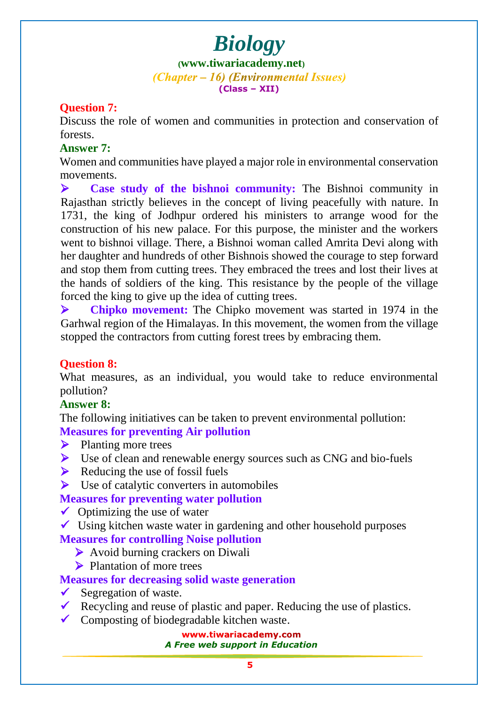**([www.tiwariacademy.net](http://www.tiwariacademy.net/))** (Chapter – 16) (Environmental Issues) **(Class – XII)**

### **Question 7:**

Discuss the role of women and communities in protection and conservation of forests.

#### **Answer 7:**

Women and communities have played a major role in environmental conservation movements.

 **Case study of the bishnoi community:** The Bishnoi community in Rajasthan strictly believes in the concept of living peacefully with nature. In 1731, the king of Jodhpur ordered his ministers to arrange wood for the construction of his new palace. For this purpose, the minister and the workers went to bishnoi village. There, a Bishnoi woman called Amrita Devi along with her daughter and hundreds of other Bishnois showed the courage to step forward and stop them from cutting trees. They embraced the trees and lost their lives at the hands of soldiers of the king. This resistance by the people of the village forced the king to give up the idea of cutting trees.

 **Chipko movement:** The Chipko movement was started in 1974 in the Garhwal region of the Himalayas. In this movement, the women from the village stopped the contractors from cutting forest trees by embracing them.

# **Question 8:**

What measures, as an individual, you would take to reduce environmental pollution?

# **Answer 8:**

The following initiatives can be taken to prevent environmental pollution: **Measures for preventing Air pollution**

- $\triangleright$  Planting more trees
- $\triangleright$  Use of clean and renewable energy sources such as CNG and bio-fuels
- $\triangleright$  Reducing the use of fossil fuels
- $\triangleright$  Use of catalytic converters in automobiles

# **Measures for preventing water pollution**

- $\checkmark$  Optimizing the use of water
- $\checkmark$  Using kitchen waste water i[n gardening](www.tiwariacademy.com) and other household purposes

# **Measures for controlling Noise pollution**

- Avoid burning crackers on Diwali
- **Plantation of more trees**

# **Measures for decreasing solid waste generation**

- $\checkmark$  Segregation of waste.
- Recycling and reuse of plastic and paper. Reducing the use of plastics.
- $\checkmark$  Composting of biodegradable kitchen waste.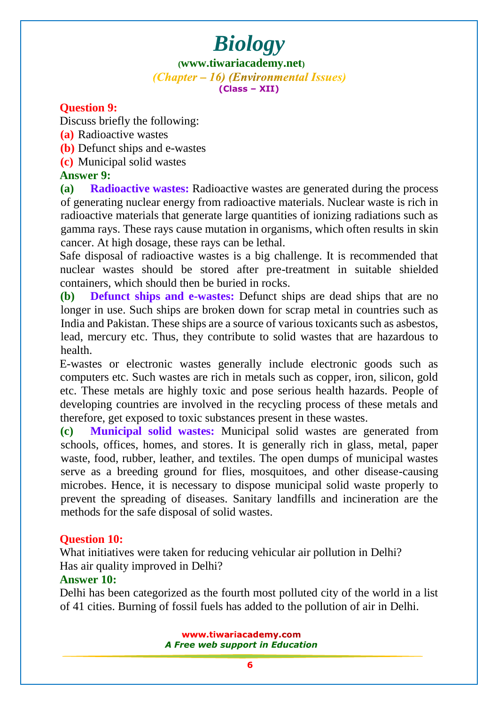**([www.tiwariacademy.net](http://www.tiwariacademy.net/))** (Chapter – 16) (Environmental Issues) **(Class – XII)**

### **Question 9:**

Discuss briefly the following:

- **(a)** Radioactive wastes
- **(b)** Defunct ships and e-wastes
- **(c)** Municipal solid wastes

#### **Answer 9:**

**(a) Radioactive wastes:** Radioactive wastes are generated during the process of generating nuclear energy from radioactive materials. Nuclear waste is rich in radioactive materials that generate large quantities of ionizing radiations such as gamma rays. These rays cause mutation in organisms, which often results in skin cancer. At high dosage, these rays can be lethal.

Safe disposal of radioactive wastes is [a big chall](www.tiwariacademy.com)enge. It is recommended that nuclear wastes should be stored after pre-treatment in suitable shielded containers, which should then be buried in rocks.

**(b) Defunct ships and e-wastes:** Defunct ships are dead ships that are no longer in use. Such ships are broken down for scrap metal in countries such as India and Pakistan. These ships are a source of various toxicants such as asbestos, lead, mercury etc. Thus, they contribute to solid wastes that are hazardous to health.

E-wastes or electronic wastes generally include electronic goods such as computers etc. Such wastes are rich in metals such as copper, iron, silicon, gold etc. These metals are highly toxic and pose serious health hazards. People of developing countries are involved in the recycling process of these metals and therefore, get exposed to toxic substances present in these wastes.

**(c) Municipal solid wastes:** Municipal solid wastes are generated from schools, offices, homes, and stores. It is generally rich in glass, metal, paper waste, food, rubber, leather, and textiles. The open dumps of municipal wastes serve as a breeding ground for flies, mosquitoes, and other disease-causing microbes. Hence, it is necessary to dispose municipal solid waste properly to prevent the spreading of diseases. Sanitary landfills and incineration are the methods for the safe disposal of solid wastes.

#### **Question 10:**

What initiatives were taken for reducing vehicular air pollution in Delhi? Has air quality improved in Delhi?

#### **Answer 10:**

Delhi has been categorized as the fourth most polluted city of the world in a list of 41 cities. Burning of fossil fuels has added to the pollution of air in Delhi.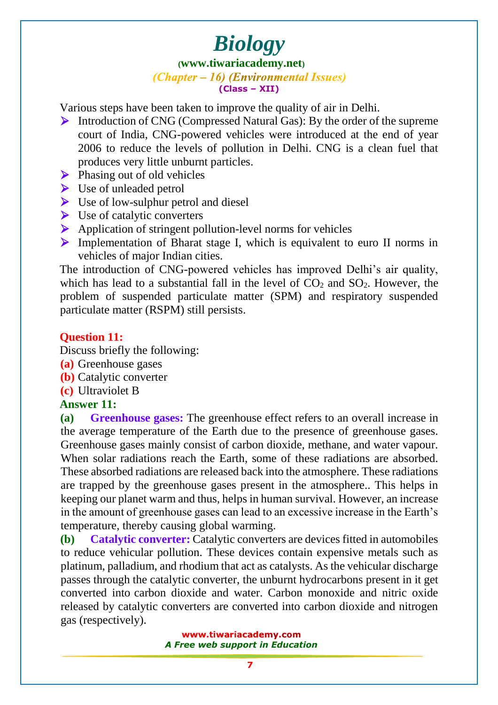#### **([www.tiwariacademy.net](http://www.tiwariacademy.net/))** (Chapter – 16) (Environmental Issues) **(Class – XII)**

Various steps have been taken to improve the quality of air in Delhi.

- Introduction of CNG (Compressed Natural Gas): By the order of the supreme court of India, CNG-powered vehicles were introduced at the end of year 2006 to reduce the levels of pollution in Delhi. CNG is a clean fuel that produces very little unburnt particles.
- $\triangleright$  Phasing out of old vehicles
- $\triangleright$  Use of unleaded petrol
- $\triangleright$  Use of low-sulphur petrol and diesel
- $\triangleright$  Use of catalytic converters
- $\triangleright$  Application of stringent pollution-level norms for vehicles
- $\triangleright$  Implementation of Bharat stage I, which is equivalent to euro II norms in vehicles of major Indian cities.

The introduction of CNG-powered vehicles has improved Delhi's air quality, which has lead to a substantial fall in the level of  $CO<sub>2</sub>$  and  $SO<sub>2</sub>$ . However, the problem of suspended particulate matter (SPM) and respiratory suspended particulate matter (RSPM) still persists.

### **Question 11:**

Discuss briefly the following:

- **(a)** Greenhouse gases
- **(b)** Catalytic converter
- **(c)** Ultraviolet B

# **Answer 11:**

**(a) Greenhouse gases:** The greenhouse effect refers to an overall increase in the average temperature of the Earth due to the presence of greenhouse gases. Greenhouse gases mainly consist of carbon dioxide, methane, and water vapour. When solar radiations reach the Earth, some of these radiations are absorbed. These absorbed radiations are released back into the atmosphere. These radiations are trapped by the greenhouse gases present in the atmosphere.. This helps in keeping our planet warm and thus, helps in [human s](www.tiwariacademy.com)urvival. However, an increase in the amount of greenhouse gases can lead to an excessive increase in the Earth's temperature, thereby causing global warming.

**(b) Catalytic converter:** Catalytic converters are devices fitted in automobiles to reduce vehicular pollution. These devices contain expensive metals such as platinum, palladium, and rhodium that act as catalysts. As the vehicular discharge passes through the catalytic converter, the unburnt hydrocarbons present in it get converted into carbon dioxide and water. Carbon monoxide and nitric oxide released by catalytic converters are converted into carbon dioxide and nitrogen gas (respectively).